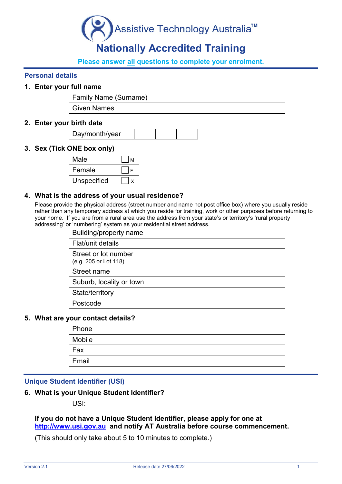

# **Nationally Accredited Training**

**Please answer all questions to complete your enrolment.** 

#### **Personal details**

#### **1. Enter your full name**

Family Name (Surname)

Given Names

#### **2. Enter your birth date**

| Day/month/year |  |  |
|----------------|--|--|
|                |  |  |

#### **3. Sex (Tick ONE box only)**

| Male        | M |
|-------------|---|
| Female      |   |
| Unspecified |   |

#### **4. What is the address of your usual residence?**

Please provide the physical address (street number and name not post office box) where you usually reside rather than any temporary address at which you reside for training, work or other purposes before returning to your home. If you are from a rural area use the address from your state's or territory's 'rural property addressing' or 'numbering' system as your residential street address.

| Building/property name                        |
|-----------------------------------------------|
| Flat/unit details                             |
| Street or lot number<br>(e.g. 205 or Lot 118) |
| Street name                                   |
| Suburb, locality or town                      |
| State/territory                               |
| Postcode                                      |
|                                               |

#### **5. What are your contact details?**

| Phone  |  |
|--------|--|
| Mobile |  |
| Fax    |  |
| Email  |  |
|        |  |

#### **Unique Student Identifier (USI)**

#### **6. What is your Unique Student Identifier?**

USI:

#### **If you do not have a Unique Student Identifier, please apply for one at [http://www.usi.gov.au](http://www.usi.gov.au/) and notify AT Australia before course commencement.**

(This should only take about 5 to 10 minutes to complete.)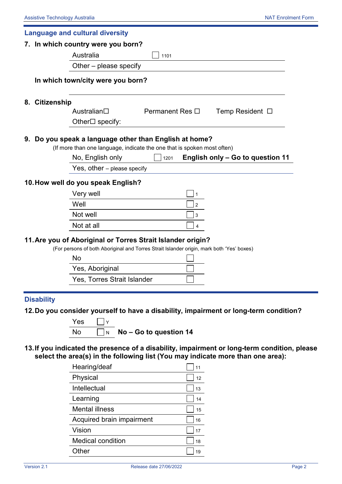|                   | 7. In which country were you born?<br>Australia<br>Other – please specify<br>In which town/city were you born?                                                 | 1101                     |                                                                                       |
|-------------------|----------------------------------------------------------------------------------------------------------------------------------------------------------------|--------------------------|---------------------------------------------------------------------------------------|
|                   |                                                                                                                                                                |                          |                                                                                       |
| 8. Citizenship    |                                                                                                                                                                |                          |                                                                                       |
|                   |                                                                                                                                                                |                          |                                                                                       |
|                   |                                                                                                                                                                |                          |                                                                                       |
|                   |                                                                                                                                                                |                          |                                                                                       |
|                   | Australian□                                                                                                                                                    | Permanent Res $\Box$     | Temp Resident $\Box$                                                                  |
|                   | Other□ specify:                                                                                                                                                |                          |                                                                                       |
|                   | 9. Do you speak a language other than English at home?                                                                                                         |                          |                                                                                       |
|                   | (If more than one language, indicate the one that is spoken most often)                                                                                        |                          |                                                                                       |
|                   | No, English only                                                                                                                                               | 1201                     | English only - Go to question 11                                                      |
|                   | Yes, other - please specify                                                                                                                                    |                          |                                                                                       |
|                   | 10. How well do you speak English?                                                                                                                             |                          |                                                                                       |
|                   | Very well                                                                                                                                                      |                          |                                                                                       |
|                   | Well                                                                                                                                                           | $\overline{2}$           |                                                                                       |
|                   | Not well                                                                                                                                                       | 3                        |                                                                                       |
|                   | Not at all                                                                                                                                                     | 4                        |                                                                                       |
|                   | 11. Are you of Aboriginal or Torres Strait Islander origin?<br>(For persons of both Aboriginal and Torres Strait Islander origin, mark both 'Yes' boxes)<br>No |                          |                                                                                       |
|                   | Yes, Aboriginal                                                                                                                                                |                          |                                                                                       |
|                   | Yes, Torres Strait Islander                                                                                                                                    |                          |                                                                                       |
|                   |                                                                                                                                                                |                          |                                                                                       |
| <b>Disability</b> |                                                                                                                                                                |                          |                                                                                       |
|                   |                                                                                                                                                                |                          | 12. Do you consider yourself to have a disability, impairment or long-term condition? |
|                   | Yes<br>Y                                                                                                                                                       |                          |                                                                                       |
|                   | No.                                                                                                                                                            | N No - Go to question 14 |                                                                                       |

| Hearing/deaf              | 11 |
|---------------------------|----|
| Physical                  | 12 |
| Intellectual              | 13 |
| Learning                  | 14 |
| <b>Mental illness</b>     | 15 |
| Acquired brain impairment | 16 |
| Vision                    | 17 |
| <b>Medical condition</b>  | 18 |
| Other                     | 19 |
|                           |    |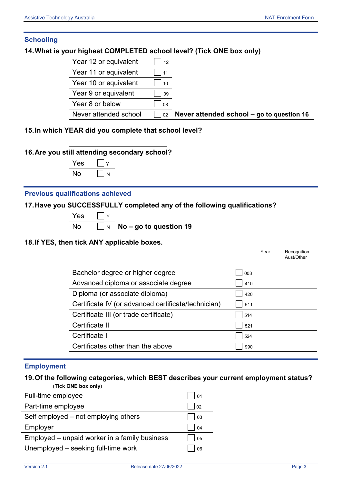#### **Schooling**

#### **14.What is your highest COMPLETED school level? (Tick ONE box only)**

| Year 12 or equivalent | 12        |
|-----------------------|-----------|
| Year 11 or equivalent | 111       |
| Year 10 or equivalent | 10        |
| Year 9 or equivalent  | $\Box$ 09 |
| Year 8 or below       | 08        |
| Never attended school |           |

Never attended school – go to question 16

#### **15.In which YEAR did you complete that school level?**

#### **16.Are you still attending secondary school?**



#### **Previous qualifications achieved**

#### **17.Have you SUCCESSFULLY completed any of the following qualifications?**

| 75. |  |
|-----|--|
|     |  |

N **No –** go to question 19

#### **18.If YES, then tick ANY applicable boxes.**

|                                                     |     | Year | Recognition |
|-----------------------------------------------------|-----|------|-------------|
|                                                     |     |      | Aust/Other  |
|                                                     |     |      |             |
| Bachelor degree or higher degree                    | 008 |      |             |
| Advanced diploma or associate degree                | 410 |      |             |
| Diploma (or associate diploma)                      | 420 |      |             |
| Certificate IV (or advanced certificate/technician) | 511 |      |             |
| Certificate III (or trade certificate)              | 514 |      |             |
| Certificate II                                      | 521 |      |             |
| Certificate I                                       | 524 |      |             |
| Certificates other than the above                   | 990 |      |             |

#### **Employment**

#### **19.Of the following categories, which BEST describes your current employment status?** (**Tick ONE box only**)

| Full-time employee                            | 01             |
|-----------------------------------------------|----------------|
| Part-time employee                            | 02             |
| Self employed – not employing others          | 03             |
| Employer                                      | 04             |
| Employed - unpaid worker in a family business | 0 <sub>5</sub> |
| Unemployed – seeking full-time work           | 06             |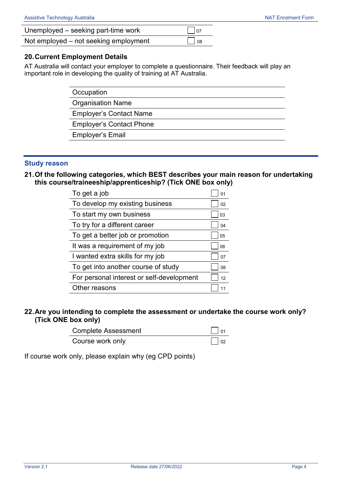| Unemployed – seeking part-time work   | $\vert$ $\vert$ 07 |
|---------------------------------------|--------------------|
| Not employed – not seeking employment | $\Box$ 08          |

#### **20.Current Employment Details**

AT Australia will contact your employer to complete a questionnaire. Their feedback will play an important role in developing the quality of training at AT Australia.

> **Occupation** Organisation Name Employer's Contact Name Employer's Contact Phone Employer's Email

#### **Study reason**

**21.Of the following categories, which BEST describes your main reason for undertaking this course/traineeship/apprenticeship? (Tick ONE box only)**

| To get a job                              | 01 |
|-------------------------------------------|----|
| To develop my existing business           | 02 |
| To start my own business                  | 03 |
| To try for a different career             | 04 |
| To get a better job or promotion          | 05 |
| It was a requirement of my job            | 06 |
| I wanted extra skills for my job          | 07 |
| To get into another course of study       | 08 |
| For personal interest or self-development | 12 |
| Other reasons                             |    |

#### **22.Are you intending to complete the assessment or undertake the course work only? (Tick ONE box only)**

| <b>Complete Assessment</b> | $\vert$ $\vert$ 01 |
|----------------------------|--------------------|
| Course work only           | $\vert$ $\vert$ 02 |

If course work only, please explain why (eg CPD points)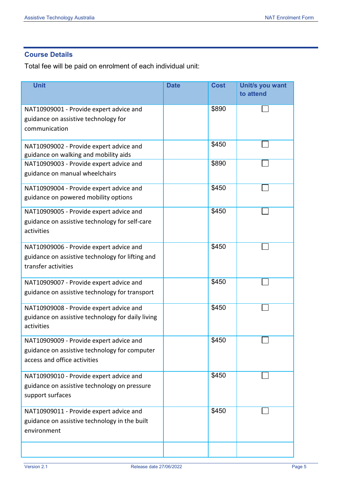### **Course Details**

Total fee will be paid on enrolment of each individual unit:

| <b>Unit</b>                                       | <b>Date</b> | <b>Cost</b> | Unit/s you want<br>to attend |
|---------------------------------------------------|-------------|-------------|------------------------------|
|                                                   |             |             |                              |
| NAT10909001 - Provide expert advice and           |             | \$890       |                              |
| guidance on assistive technology for              |             |             |                              |
| communication                                     |             |             |                              |
| NAT10909002 - Provide expert advice and           |             | \$450       |                              |
| guidance on walking and mobility aids             |             |             |                              |
| NAT10909003 - Provide expert advice and           |             | \$890       |                              |
| guidance on manual wheelchairs                    |             |             |                              |
| NAT10909004 - Provide expert advice and           |             | \$450       |                              |
| guidance on powered mobility options              |             |             |                              |
| NAT10909005 - Provide expert advice and           |             | \$450       |                              |
| guidance on assistive technology for self-care    |             |             |                              |
| activities                                        |             |             |                              |
| NAT10909006 - Provide expert advice and           |             | \$450       |                              |
| guidance on assistive technology for lifting and  |             |             |                              |
| transfer activities                               |             |             |                              |
| NAT10909007 - Provide expert advice and           |             | \$450       |                              |
| guidance on assistive technology for transport    |             |             |                              |
| NAT10909008 - Provide expert advice and           |             | \$450       |                              |
| guidance on assistive technology for daily living |             |             |                              |
| activities                                        |             |             |                              |
| NAT10909009 - Provide expert advice and           |             | \$450       |                              |
| guidance on assistive technology for computer     |             |             |                              |
| access and office activities                      |             |             |                              |
| NAT10909010 - Provide expert advice and           |             | \$450       |                              |
| guidance on assistive technology on pressure      |             |             |                              |
| support surfaces                                  |             |             |                              |
| NAT10909011 - Provide expert advice and           |             | \$450       |                              |
| guidance on assistive technology in the built     |             |             |                              |
| environment                                       |             |             |                              |
|                                                   |             |             |                              |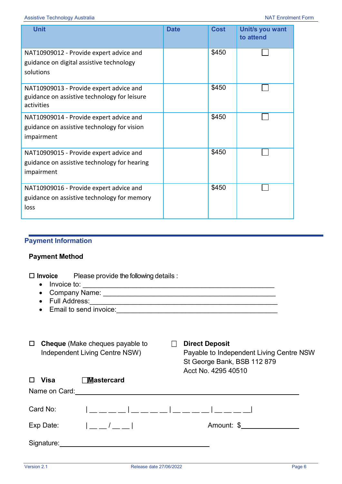| <b>Unit</b>                                                                                           | <b>Date</b> | <b>Cost</b> | Unit/s you want<br>to attend |
|-------------------------------------------------------------------------------------------------------|-------------|-------------|------------------------------|
| NAT10909012 - Provide expert advice and<br>guidance on digital assistive technology<br>solutions      |             | \$450       |                              |
| NAT10909013 - Provide expert advice and<br>guidance on assistive technology for leisure<br>activities |             | \$450       |                              |
| NAT10909014 - Provide expert advice and<br>guidance on assistive technology for vision<br>impairment  |             | \$450       |                              |
| NAT10909015 - Provide expert advice and<br>guidance on assistive technology for hearing<br>impairment |             | \$450       |                              |
| NAT10909016 - Provide expert advice and<br>guidance on assistive technology for memory<br>loss        |             | \$450       |                              |

## **Payment Information**

#### **Payment Method**

 **Invoice** Please provide the following details : • Invoice to:  $\sqrt{2}$ 

- 
- Company Name: \_\_\_\_\_\_\_\_\_\_\_\_\_\_\_\_\_\_\_\_\_\_\_\_\_\_\_\_\_\_\_\_\_\_\_\_\_\_\_\_\_\_\_\_\_
- Full Address:
- Email to send invoice:
- **Cheque** (Make cheques payable to **Direct Deposit**

Independent Living Centre NSW) Payable to Independent Living Centre NSW St George Bank, BSB 112 879 Acct No. 4295 40510

| Visa       | <b>Mastercard</b>           |            |
|------------|-----------------------------|------------|
|            | Name on Card: Name on Card: |            |
| Card No:   |                             |            |
| Exp Date:  | $1 - 1 - 1$                 | Amount: \$ |
| Signature: |                             |            |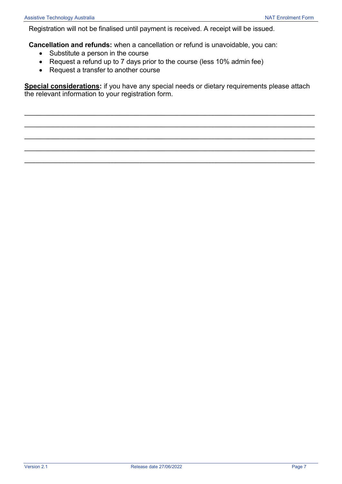Registration will not be finalised until payment is received. A receipt will be issued.

**Cancellation and refunds:** when a cancellation or refund is unavoidable, you can:

- Substitute a person in the course
- Request a refund up to 7 days prior to the course (less 10% admin fee)
- Request a transfer to another course

**Special considerations:** if you have any special needs or dietary requirements please attach the relevant information to your registration form.

**\_\_\_\_\_\_\_\_\_\_\_\_\_\_\_\_\_\_\_\_\_\_\_\_\_\_\_\_\_\_\_\_\_\_\_\_\_\_\_\_\_\_\_\_\_\_\_\_\_\_\_\_\_\_\_\_\_\_\_\_\_\_\_\_\_\_\_\_\_\_\_\_\_\_\_\_\_\_\_\_\_\_\_\_\_\_\_\_\_\_\_\_\_\_\_\_\_\_\_\_\_**

**\_\_\_\_\_\_\_\_\_\_\_\_\_\_\_\_\_\_\_\_\_\_\_\_\_\_\_\_\_\_\_\_\_\_\_\_\_\_\_\_\_\_\_\_\_\_\_\_\_\_\_\_\_\_\_\_\_\_\_\_\_\_\_\_\_\_\_\_\_\_\_\_\_\_\_\_\_\_\_\_\_\_\_\_\_\_\_\_\_\_\_\_\_\_\_\_\_\_\_\_\_**

**\_\_\_\_\_\_\_\_\_\_\_\_\_\_\_\_\_\_\_\_\_\_\_\_\_\_\_\_\_\_\_\_\_\_\_\_\_\_\_\_\_\_\_\_\_\_\_\_\_\_\_\_\_\_\_\_\_\_\_\_\_\_\_\_\_\_\_\_\_\_\_\_\_\_\_\_\_\_\_\_\_\_\_\_\_\_\_\_\_\_\_\_\_\_\_\_\_\_\_\_\_**

**\_\_\_\_\_\_\_\_\_\_\_\_\_\_\_\_\_\_\_\_\_\_\_\_\_\_\_\_\_\_\_\_\_\_\_\_\_\_\_\_\_\_\_\_\_\_\_\_\_\_\_\_\_\_\_\_\_\_\_\_\_\_\_\_\_\_\_\_\_\_\_\_\_\_\_\_\_\_\_\_\_\_\_\_\_\_\_\_\_\_\_\_\_\_\_\_\_\_\_\_\_**

**\_\_\_\_\_\_\_\_\_\_\_\_\_\_\_\_\_\_\_\_\_\_\_\_\_\_\_\_\_\_\_\_\_\_\_\_\_\_\_\_\_\_\_\_\_\_\_\_\_\_\_\_\_\_\_\_\_\_\_\_\_\_\_\_\_\_\_\_\_\_\_\_\_\_\_\_\_\_\_\_\_\_\_\_\_\_\_\_\_\_\_\_\_\_\_\_\_\_\_\_\_**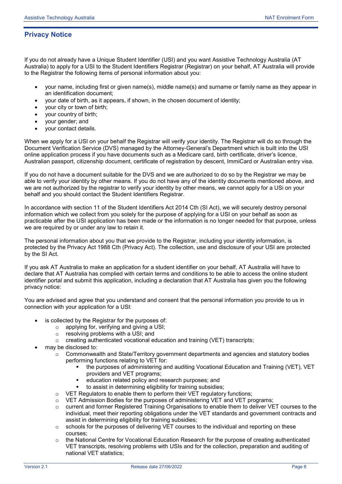#### **Privacy Notice**

If you do not already have a Unique Student Identifier (USI) and you want Assistive Technology Australia (AT Australia) to apply for a USI to the Student Identifiers Registrar (Registrar) on your behalf, AT Australia will provide to the Registrar the following items of personal information about you:

- your name, including first or given name(s), middle name(s) and surname or family name as they appear in an identification document;
- your date of birth, as it appears, if shown, in the chosen document of identity;
- your city or town of birth;
- your country of birth;
- your gender; and
- your contact details.

When we apply for a USI on your behalf the Registrar will verify your identity. The Registrar will do so through the Document Verification Service (DVS) managed by the Attorney-General's Department which is built into the USI online application process if you have documents such as a Medicare card, birth certificate, driver's licence, Australian passport, citizenship document, certificate of registration by descent, ImmiCard or Australian entry visa.

If you do not have a document suitable for the DVS and we are authorized to do so by the Registrar we may be able to verify your identity by other means. If you do not have any of the identity documents mentioned above, and we are not authorized by the registrar to verify your identity by other means, we cannot apply for a USi on your behalf and you should contact the Student Identifiers Registrar.

In accordance with section 11 of the Student Identifiers Act 2014 Cth (SI Act), we will securely destroy personal information which we collect from you solely for the purpose of applying for a USI on your behalf as soon as practicable after the USI application has been made or the information is no longer needed for that purpose, unless we are required by or under any law to retain it.

The personal information about you that we provide to the Registrar, including your identity information, is protected by the Privacy Act 1988 Cth (Privacy Act). The collection, use and disclosure of your USI are protected by the SI Act.

If you ask AT Australia to make an application for a student identifier on your behalf, AT Australia will have to declare that AT Australia has complied with certain terms and conditions to be able to access the online student identifier portal and submit this application, including a declaration that AT Australia has given you the following privacy notice:

You are advised and agree that you understand and consent that the personal information you provide to us in connection with your application for a USI:

- is collected by the Registrar for the purposes of:
	- $\circ$  applying for, verifying and giving a USI;<br> $\circ$  resolving problems with a USI; and
	- $\circ$  resolving problems with a USI; and  $\circ$  creating authenticated vocational equal
	- creating authenticated vocational education and training (VET) transcripts;
- may be disclosed to:
	- o Commonwealth and State/Territory government departments and agencies and statutory bodies performing functions relating to VET for:
		- the purposes of administering and auditing Vocational Education and Training (VET), VET providers and VET programs;
		- **education related policy and research purposes; and**
		- to assist in determining eligibility for training subsidies;
	- $\circ$  VET Regulators to enable them to perform their VET regulatory functions:
	- o VET Admission Bodies for the purposes of administering VET and VET programs;<br>concurrent and former Registered Training Organisations to enable them to deliver VE
	- current and former Registered Training Organisations to enable them to deliver VET courses to the individual, meet their reporting obligations under the VET standards and government contracts and assist in determining eligibility for training subsidies;
	- $\circ$  schools for the purposes of delivering VET courses to the individual and reporting on these courses;
	- the National Centre for Vocational Education Research for the purpose of creating authenticated VET transcripts, resolving problems with USIs and for the collection, preparation and auditing of national VET statistics;